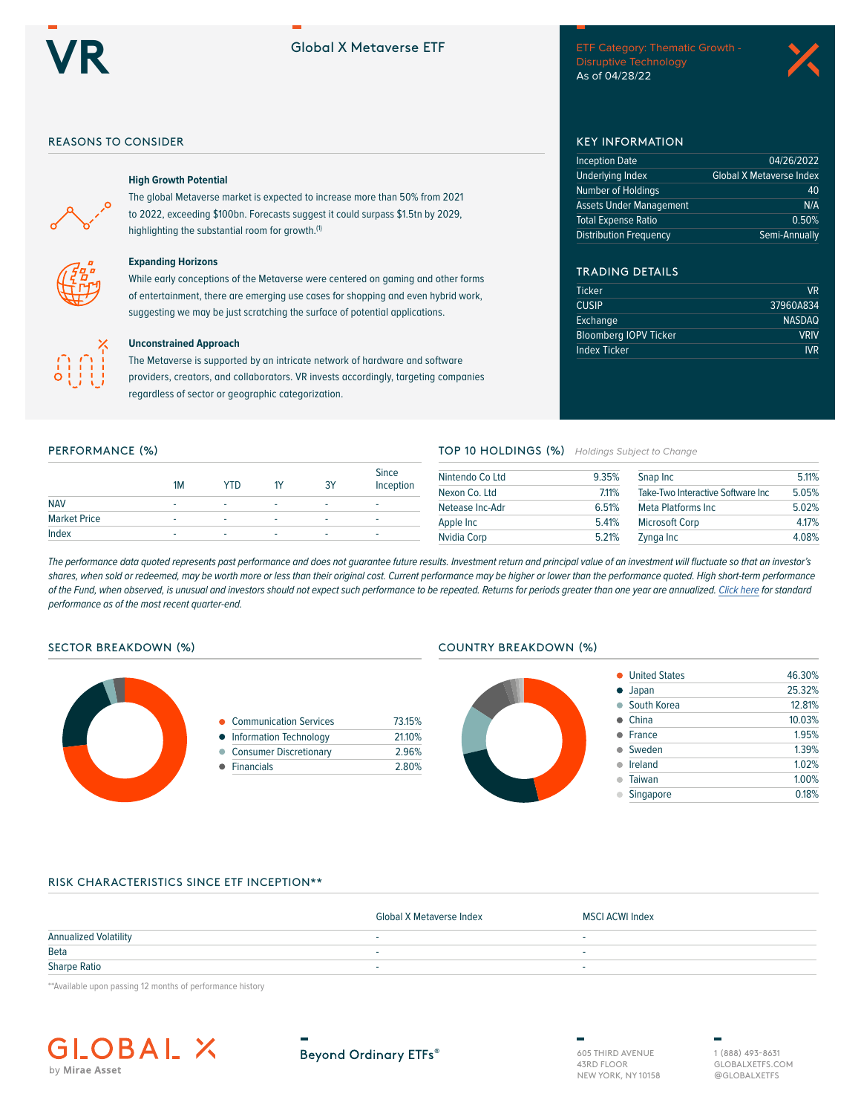# Global X Metaverse ETF

**Discrement School School School School School School School School School School School School School School School As of 04/28/22<br>As of 04/28/22** 



## REASONS TO CONSIDER **EXECUTIVE STATES IN THE SEX INFORMATION**



# **High Growth Potential**

The global Metaverse market is expected to increase more than 50% from 2021 to 2022, exceeding \$100bn. Forecasts suggest it could surpass \$1.5tn by 2029, highlighting the substantial room for growth.<sup>(1)</sup>



## **Expanding Horizons**

While early conceptions of the Metaverse were centered on gaming and other forms of entertainment, there are emerging use cases for shopping and even hybrid work, suggesting we may be just scratching the surface of potential applications.



## **Unconstrained Approach**

The Metaverse is supported by an intricate network of hardware and software providers, creators, and collaborators. VR invests accordingly, targeting companies regardless of sector or geographic categorization.

|                     | 1M | YTD |   | 3Y | <b>Since</b><br>Inception |
|---------------------|----|-----|---|----|---------------------------|
| <b>NAV</b>          | ۰  | -   | ٠ | ٠  |                           |
| <b>Market Price</b> | ۰  | -   | ۰ | -  |                           |
| Index               | ۰  | ۰   | - | ۰  | ۰                         |

## PERFORMANCE (%) **PERFORMANCE (%) TOP 10 HOLDINGS (%)** *Holdings Subject to Change*

| Nintendo Co Ltd | 9.35%                                      | Snap Inc              | 5.11% |
|-----------------|--------------------------------------------|-----------------------|-------|
| Nexon Co. Ltd   | 7.11%<br>Take-Two Interactive Software Inc |                       | 5.05% |
| Netease Inc-Adr | 6.51%                                      | Meta Platforms Inc    | 5.02% |
| Apple Inc       | 5.41%                                      | <b>Microsoft Corp</b> | 4.17% |
| Nvidia Corp     | 5.21%                                      | Zynga Inc             | 4.08% |

TRADING DETAILS

Ticker VR CUSIP 37960A834 Exchange NASDAQ Bloomberg IOPV Ticker Van VRIV **Index Ticker IVR** 

Inception Date 04/26/2022 Underlying Index Global X Metaverse Index Number of Holdings **40** Assets Under Management N/A Total Expense Ratio 0.50% Distribution Frequency Semi-Annually

*The performance data quoted represents past performance and does not guarantee future results. Investment return and principal value of an investment will fluctuate so that an investor's* shares, when sold or redeemed, may be worth more or less than their original cost. Current performance may be higher or lower than the performance quoted. High short-term performance *of the Fund, when observed, is unusual and investors should not expect such performance to be repeated. Returns for periods greater than one year are annualized. [Click here](https://www.globalxetfs.com/funds/vr/) for standard performance as of the most recent quarter-end.*



| • Communication Services | 73.15% |
|--------------------------|--------|
| • Information Technology | 21.10% |

- Consumer Discretionary 2.96%
- Financials 2.80%

### SECTOR BREAKDOWN (%) COUNTRY BREAKDOWN (%)



## RISK CHARACTERISTICS SINCE ETF INCEPTION\*\*

|                              | Global X Metaverse Index | MSCI ACWI Index |
|------------------------------|--------------------------|-----------------|
| <b>Annualized Volatility</b> |                          |                 |
| Beta                         |                          |                 |
| <b>Sharpe Ratio</b>          |                          |                 |

\*\*Available upon passing 12 months of performance history



**Beyond Ordinary ETFs®** 

605 THIRD AVENUE 43RD FLOOR NEW YORK, NY 10158

1 (888) 493-8631 GLOBALXETFS.COM @GLOBALXETFS